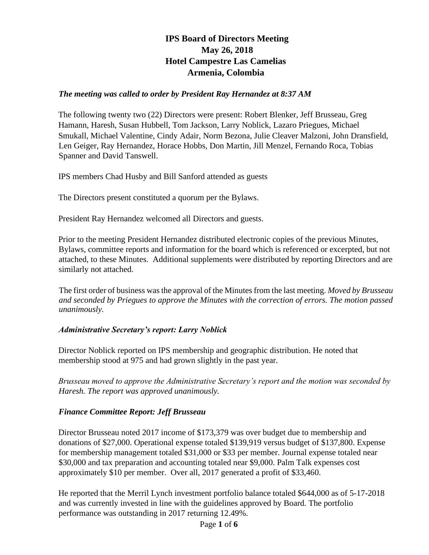# **IPS Board of Directors Meeting May 26, 2018 Hotel Campestre Las Camelias Armenia, Colombia**

#### *The meeting was called to order by President Ray Hernandez at 8:37 AM*

The following twenty two (22) Directors were present: Robert Blenker, Jeff Brusseau, Greg Hamann, Haresh, Susan Hubbell, Tom Jackson, Larry Noblick, Lazaro Priegues, Michael Smukall, Michael Valentine, Cindy Adair, Norm Bezona, Julie Cleaver Malzoni, John Dransfield, Len Geiger, Ray Hernandez, Horace Hobbs, Don Martin, Jill Menzel, Fernando Roca, Tobias Spanner and David Tanswell.

IPS members Chad Husby and Bill Sanford attended as guests

The Directors present constituted a quorum per the Bylaws.

President Ray Hernandez welcomed all Directors and guests.

Prior to the meeting President Hernandez distributed electronic copies of the previous Minutes, Bylaws, committee reports and information for the board which is referenced or excerpted, but not attached, to these Minutes. Additional supplements were distributed by reporting Directors and are similarly not attached.

The first order of business was the approval of the Minutes from the last meeting. *Moved by Brusseau and seconded by Priegues to approve the Minutes with the correction of errors. The motion passed unanimously.* 

#### *Administrative Secretary's report: Larry Noblick*

Director Noblick reported on IPS membership and geographic distribution. He noted that membership stood at 975 and had grown slightly in the past year.

*Brusseau moved to approve the Administrative Secretary's report and the motion was seconded by Haresh. The report was approved unanimously.* 

#### *Finance Committee Report: Jeff Brusseau*

Director Brusseau noted 2017 income of \$173,379 was over budget due to membership and donations of \$27,000. Operational expense totaled \$139,919 versus budget of \$137,800. Expense for membership management totaled \$31,000 or \$33 per member. Journal expense totaled near \$30,000 and tax preparation and accounting totaled near \$9,000. Palm Talk expenses cost approximately \$10 per member. Over all, 2017 generated a profit of \$33,460.

He reported that the Merril Lynch investment portfolio balance totaled \$644,000 as of 5-17-2018 and was currently invested in line with the guidelines approved by Board. The portfolio performance was outstanding in 2017 returning 12.49%.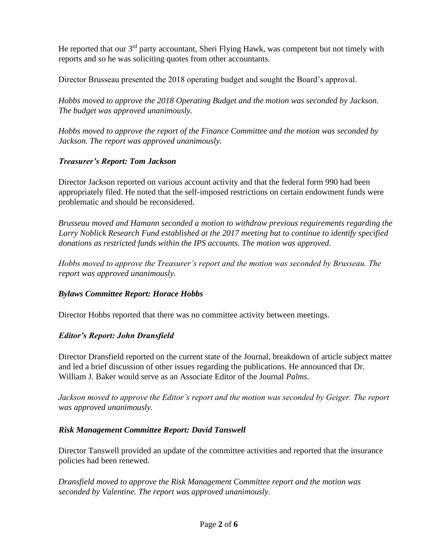He reported that our  $3<sup>rd</sup>$  party accountant, Sheri Flying Hawk, was competent but not timely with reports and so he was soliciting quotes from other accountants.

Director Brusseau presented the 2018 operating budget and sought the Board's approval.

*Hobbs moved to approve the 2018 Operating Budget and the motion was seconded by Jackson. The budget was approved unanimously.* 

*Hobbs moved to approve the report of the Finance Committee and the motion was seconded by Jackson. The report was approved unanimously.* 

## *Treasurer's Report: Tom Jackson*

Director Jackson reported on various account activity and that the federal form 990 had been appropriately filed. He noted that the self-imposed restrictions on certain endowment funds were problematic and should be reconsidered.

*Brusseau moved and Hamann seconded a motion to withdraw previous requirements regarding the Larry Noblick Research Fund established at the 2017 meeting but to continue to identify specified donations as restricted funds within the IPS accounts. The motion was approved.* 

*Hobbs moved to approve the Treasurer's report and the motion was seconded by Brusseau. The report was approved unanimously.* 

# *Bylaws Committee Report: Horace Hobbs*

Director Hobbs reported that there was no committee activity between meetings.

# *Editor's Report: John Dransfield*

Director Dransfield reported on the current state of the Journal, breakdown of article subject matter and led a brief discussion of other issues regarding the publications. He announced that Dr. William J. Baker would serve as an Associate Editor of the Journal *Palms.* 

*Jackson moved to approve the Editor's report and the motion was seconded by Geiger. The report was approved unanimously.* 

# *Risk Management Committee Report: David Tanswell*

Director Tanswell provided an update of the committee activities and reported that the insurance policies had been renewed.

*Dransfield moved to approve the Risk Management Committee report and the motion was seconded by Valentine. The report was approved unanimously.*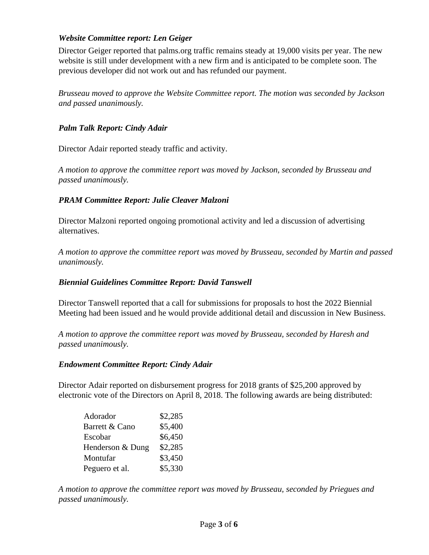# *Website Committee report: Len Geiger*

Director Geiger reported that palms.org traffic remains steady at 19,000 visits per year. The new website is still under development with a new firm and is anticipated to be complete soon. The previous developer did not work out and has refunded our payment.

*Brusseau moved to approve the Website Committee report. The motion was seconded by Jackson and passed unanimously.* 

### *Palm Talk Report: Cindy Adair*

Director Adair reported steady traffic and activity.

*A motion to approve the committee report was moved by Jackson, seconded by Brusseau and passed unanimously.* 

## *PRAM Committee Report: Julie Cleaver Malzoni*

Director Malzoni reported ongoing promotional activity and led a discussion of advertising alternatives.

*A motion to approve the committee report was moved by Brusseau, seconded by Martin and passed unanimously.* 

### *Biennial Guidelines Committee Report: David Tanswell*

Director Tanswell reported that a call for submissions for proposals to host the 2022 Biennial Meeting had been issued and he would provide additional detail and discussion in New Business.

*A motion to approve the committee report was moved by Brusseau, seconded by Haresh and passed unanimously.* 

#### *Endowment Committee Report: Cindy Adair*

Director Adair reported on disbursement progress for 2018 grants of \$25,200 approved by electronic vote of the Directors on April 8, 2018. The following awards are being distributed:

| Adorador         | \$2,285 |
|------------------|---------|
| Barrett & Cano   | \$5,400 |
| Escobar          | \$6,450 |
| Henderson & Dung | \$2,285 |
| Montufar         | \$3,450 |
| Peguero et al.   | \$5,330 |

*A motion to approve the committee report was moved by Brusseau, seconded by Priegues and passed unanimously.*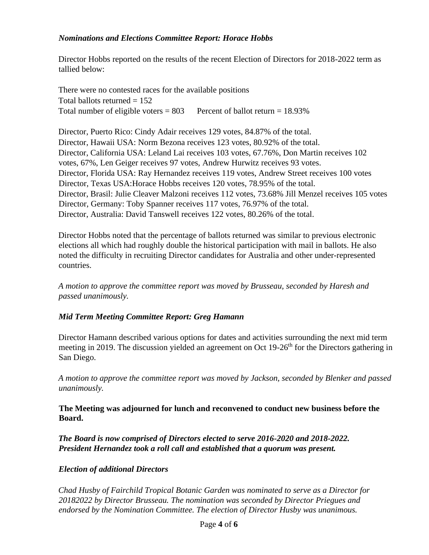### *Nominations and Elections Committee Report: Horace Hobbs*

Director Hobbs reported on the results of the recent Election of Directors for 2018-2022 term as tallied below:

There were no contested races for the available positions Total ballots returned  $= 152$ Total number of eligible voters  $= 803$  Percent of ballot return  $= 18.93\%$ 

Director, Puerto Rico: Cindy Adair receives 129 votes, 84.87% of the total. Director, Hawaii USA: Norm Bezona receives 123 votes, 80.92% of the total. Director, California USA: Leland Lai receives 103 votes, 67.76%, Don Martin receives 102 votes, 67%, Len Geiger receives 97 votes, Andrew Hurwitz receives 93 votes. Director, Florida USA: Ray Hernandez receives 119 votes, Andrew Street receives 100 votes Director, Texas USA:Horace Hobbs receives 120 votes, 78.95% of the total. Director, Brasil: Julie Cleaver Malzoni receives 112 votes, 73.68% Jill Menzel receives 105 votes Director, Germany: Toby Spanner receives 117 votes, 76.97% of the total. Director, Australia: David Tanswell receives 122 votes, 80.26% of the total.

Director Hobbs noted that the percentage of ballots returned was similar to previous electronic elections all which had roughly double the historical participation with mail in ballots. He also noted the difficulty in recruiting Director candidates for Australia and other under-represented countries.

*A motion to approve the committee report was moved by Brusseau, seconded by Haresh and passed unanimously.* 

# *Mid Term Meeting Committee Report: Greg Hamann*

Director Hamann described various options for dates and activities surrounding the next mid term meeting in 2019. The discussion yielded an agreement on Oct 19-26<sup>th</sup> for the Directors gathering in San Diego.

*A motion to approve the committee report was moved by Jackson, seconded by Blenker and passed unanimously.* 

**The Meeting was adjourned for lunch and reconvened to conduct new business before the Board.** 

*The Board is now comprised of Directors elected to serve 2016-2020 and 2018-2022. President Hernandez took a roll call and established that a quorum was present.* 

#### *Election of additional Directors*

*Chad Husby of Fairchild Tropical Botanic Garden was nominated to serve as a Director for 20182022 by Director Brusseau. The nomination was seconded by Director Priegues and endorsed by the Nomination Committee. The election of Director Husby was unanimous.*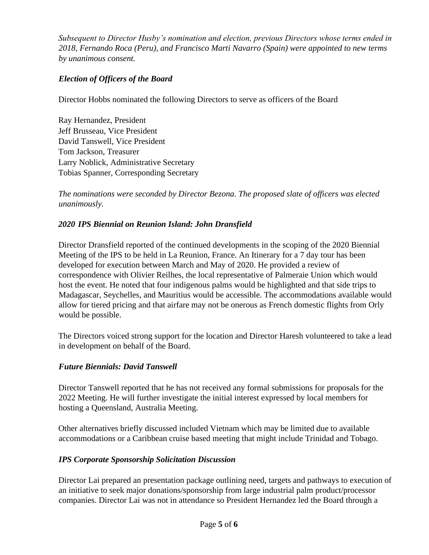*Subsequent to Director Husby's nomination and election, previous Directors whose terms ended in 2018, Fernando Roca (Peru), and Francisco Marti Navarro (Spain) were appointed to new terms by unanimous consent.*

# *Election of Officers of the Board*

Director Hobbs nominated the following Directors to serve as officers of the Board

Ray Hernandez, President Jeff Brusseau, Vice President David Tanswell, Vice President Tom Jackson, Treasurer Larry Noblick, Administrative Secretary Tobias Spanner, Corresponding Secretary

*The nominations were seconded by Director Bezona. The proposed slate of officers was elected unanimously.* 

#### *2020 IPS Biennial on Reunion Island: John Dransfield*

Director Dransfield reported of the continued developments in the scoping of the 2020 Biennial Meeting of the IPS to be held in La Reunion, France. An Itinerary for a 7 day tour has been developed for execution between March and May of 2020. He provided a review of correspondence with Olivier Reilhes, the local representative of Palmeraie Union which would host the event. He noted that four indigenous palms would be highlighted and that side trips to Madagascar, Seychelles, and Mauritius would be accessible. The accommodations available would allow for tiered pricing and that airfare may not be onerous as French domestic flights from Orly would be possible.

The Directors voiced strong support for the location and Director Haresh volunteered to take a lead in development on behalf of the Board.

#### *Future Biennials: David Tanswell*

Director Tanswell reported that he has not received any formal submissions for proposals for the 2022 Meeting. He will further investigate the initial interest expressed by local members for hosting a Queensland, Australia Meeting.

Other alternatives briefly discussed included Vietnam which may be limited due to available accommodations or a Caribbean cruise based meeting that might include Trinidad and Tobago.

#### *IPS Corporate Sponsorship Solicitation Discussion*

Director Lai prepared an presentation package outlining need, targets and pathways to execution of an initiative to seek major donations/sponsorship from large industrial palm product/processor companies. Director Lai was not in attendance so President Hernandez led the Board through a